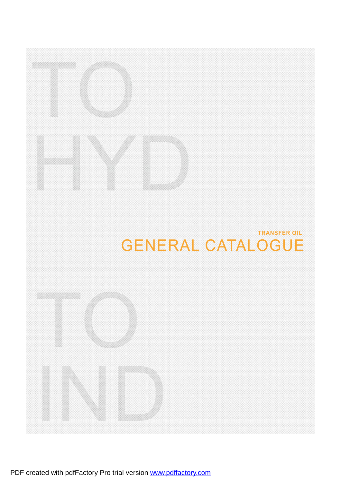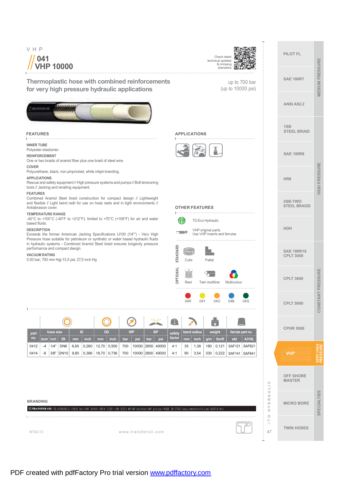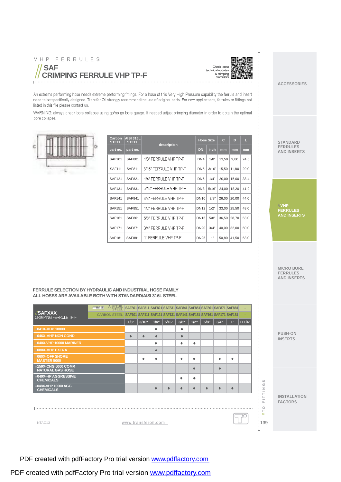







| Carbon<br><b>STEEL</b> | <b>AISI 316L</b><br><b>STEEL</b> | description            | <b>Hose Size</b> |       | $\mathbf{C}$ | D     | L    |
|------------------------|----------------------------------|------------------------|------------------|-------|--------------|-------|------|
| part no.               | part no.                         |                        | <b>DN</b>        | inch  | mm           | mm    | mm   |
| <b>SAF101</b>          | <b>SAF801</b>                    | 1/8" FERRULE VHP TP-F  | DN4              | 1/8"  | 13,50        | 9,80  | 24,0 |
| <b>SAF111</b>          | SAF811                           | 3/16" FERRULE VHP TP-F | DN <sub>5</sub>  | 3/16" | 15,50        | 11.80 | 29,0 |
| <b>SAF121</b>          | <b>SAF821</b>                    | 1/4" FERRULE VHP TP-F  | DN <sub>6</sub>  | 1/4"  | 20,00        | 15,00 | 38,4 |
| <b>SAF131</b>          | SAF831                           | 5/16" FERRULE VHP TP-F | DN <sub>8</sub>  | 5/16" | 24,00        | 18,20 | 41,0 |
| <b>SAF141</b>          | <b>SAF841</b>                    | 3/8" FERRULE VHP TP-F  | <b>DN10</b>      | 3/8"  | 26,00        | 20,00 | 44,0 |
| <b>SAF151</b>          | <b>SAF851</b>                    | 1/2" FERRULE VHP TP-F  | <b>DN12</b>      | 1/2"  | 33,00        | 25,50 | 48,0 |
| <b>SAF161</b>          | SAF861                           | 5/8" FERRULE VHP TP-F  | <b>DN16</b>      | 5/8"  | 36,50        | 28,70 | 53,0 |
| <b>SAF171</b>          | <b>SAF871</b>                    | 3/4" FERRULE VHP TP-F  | <b>DN20</b>      | 3/4"  | 40,00        | 32,00 | 60,0 |
| <b>SAF181</b>          | <b>SAF881</b>                    | 1" FERRULE VHP TP-F    | <b>DN25</b>      | 1"    | 50,80        | 41,50 | 63,0 |

#### MICRO BORE FERRULES<sup>1</sup> AND INSERTS

| <b>SAF</b><br>CRIMPING FERRULE VHP TP-F                                                                                                                                                                                                                                                                                                                                                                                                                            |                                                                                                                                                         |                                                                                      |                |                                       |                                                                                                                                                     |                                                                     |                             | <b>Check latest</b><br>technical updates<br>& crimping<br>diameters              |                                               |                                      |                                                                                    |                                              |                                                                                                                           | <b>ACCESSORIES</b>                                         |
|--------------------------------------------------------------------------------------------------------------------------------------------------------------------------------------------------------------------------------------------------------------------------------------------------------------------------------------------------------------------------------------------------------------------------------------------------------------------|---------------------------------------------------------------------------------------------------------------------------------------------------------|--------------------------------------------------------------------------------------|----------------|---------------------------------------|-----------------------------------------------------------------------------------------------------------------------------------------------------|---------------------------------------------------------------------|-----------------------------|----------------------------------------------------------------------------------|-----------------------------------------------|--------------------------------------|------------------------------------------------------------------------------------|----------------------------------------------|---------------------------------------------------------------------------------------------------------------------------|------------------------------------------------------------|
| An extreme performing hose needs extreme performing fittings. For a hose of this Very High Pressure capability the ferrule and insert<br>need to be specifically designed. Transfer Oil strongly recommend the use of original parts. For new applications, ferrules or fittings not<br>listed in this file please contact us.<br>WARNING: always check bore collapse using go/no go bore gauge. If needed adjust crimping diameter in order to obtain the optimal |                                                                                                                                                         |                                                                                      |                |                                       |                                                                                                                                                     |                                                                     |                             |                                                                                  |                                               |                                      |                                                                                    |                                              |                                                                                                                           |                                                            |
| bore collapse.                                                                                                                                                                                                                                                                                                                                                                                                                                                     | Carbon<br><b>STEEL</b><br>part no.<br><b>SAF101</b><br><b>SAF111</b>                                                                                    | <b>AISI 316L</b><br><b>STEEL</b><br>part no.<br><b>SAF801</b><br>SAF811              |                |                                       | description<br>1/8" FERRULE VHP TP-F<br>3/16" FERRULE VHP TP-F                                                                                      |                                                                     |                             | Hose Size<br><b>DN</b><br>DN4<br>DN <sub>5</sub>                                 | inch<br>1/8"<br>3/16"                         | $\mathbf{C}$<br>mm<br>13,50<br>15,50 | D<br>mm<br>9,80<br> 11,80                                                          | Ш<br>mm<br>24,0<br>29,0                      |                                                                                                                           | <b>STANDARD</b><br><b>FERRULES</b><br><b>AND INSERTS</b>   |
|                                                                                                                                                                                                                                                                                                                                                                                                                                                                    | <b>SAF121</b><br><b>SAF131</b><br><b>SAF141</b><br><b>SAF151</b><br><b>SAF161</b><br><b>SAF171</b>                                                      | <b>SAF821</b><br><b>SAF831</b><br>SAF841<br><b>SAF851</b><br>SAF861<br><b>SAF871</b> |                |                                       | 1/4" FERRULE VHP TP-F<br>5/16" FERRULE VHP TP-F<br>3/8" FERRULE VHP TP-F<br>1/2" FERRULE VHP TP-F<br>5/8" FERRULE VHP TP-F<br>3/4" FERRULE VHP TP-F |                                                                     |                             | DN <sub>6</sub><br>DN <sub>8</sub><br><b>DN10</b><br><b>DN12</b><br>DN16<br>DN20 | 1/4"<br>5/16"<br>3/8"<br>1/2"<br>5/8"<br>3/4" | 24,00                                | 20,00   15,00<br>18,20<br>26,00 20,00<br>33,00 25,50<br>36,50 28,70<br>40,00 32,00 | 38,4<br>41,0<br>44,0<br>48,0<br>53,0<br>60,0 |                                                                                                                           | //VHP<br><b>FERRULES</b><br><b>AND INSERTS</b>             |
| FERRULE SELECTION BY HYDRAULIC AND INDUSTRIAL HOSE FAMILY<br>ALL HOSES ARE AVAILABLE BOTH WITH STANDARD/AISI 316L STEEL                                                                                                                                                                                                                                                                                                                                            | <b>SAF181</b>                                                                                                                                           | <b>SAF881</b>                                                                        |                |                                       | 1" FERRULE VHP TP-F                                                                                                                                 |                                                                     |                             | <b>DN25</b>                                                                      | 1"                                            |                                      | 50,80 41,50                                                                        | 63,0                                         |                                                                                                                           | <b>MICRO BORE</b><br><b>FERRULES</b><br><b>AND INSERTS</b> |
| 一动情<br><b>//SAFXXX</b><br><b>CRIMPING FERRULE TP-F</b><br>041X-VHP 10000<br>046X-VHP NON COND.<br><b>040X-VHP 10000 MARINER</b><br>080X-VHP EXTRA<br>060X-OFF SHORE<br><b>MASTER 5000</b>                                                                                                                                                                                                                                                                          | AISI 316L SAF801 SAF811 SAF821 SAF831 SAF841 SAF851 SAF861 SAF871 SAF881<br>CARBON STEEL SAF101 SAF111 SAF121 SAF131 SAF141 SAF151 SAF161 SAF171 SAF181 | $\bullet$                                                                            | $\bullet$<br>٠ | ٠<br>$\bullet$<br>۰<br>$\bullet$<br>٠ |                                                                                                                                                     | $1/8$ " 3/16" 1/4" 5/16" 3/8" 1/2" 5/8"<br>۰<br>$\bullet$<br>٠<br>٠ | ٠<br>٠                      |                                                                                  |                                               | $3/4$ <sup>"</sup><br>۰              | ٠                                                                                  | $1 + 1/4$                                    |                                                                                                                           | <b>PUSH-ON</b><br><b>INSERTS</b>                           |
| /159X-CNG 5000 COMP.<br><b>NATURAL GAS HOSE</b><br>049X-HP AGGRESSIVE<br><b>CHEMICALS</b><br>048X-VHP 10000 AGG.<br><b>CHEMICALS</b><br>NTAC13                                                                                                                                                                                                                                                                                                                     |                                                                                                                                                         | www.transferoil.com                                                                  |                | $\bullet$                             | ٠                                                                                                                                                   | ۰<br>$\bullet$                                                      | $\bullet$<br>۰<br>$\bullet$ | ۰                                                                                |                                               | $\bullet$<br>۰                       | $\bullet$                                                                          | IC                                           | CO <sub>1</sub><br>$\circ$<br>$\geq$<br>$\overline{\phantom{a}}$<br>Н<br>$\vdash$<br>Щ<br>$\circ$<br>Н<br>$\simeq$<br>139 | <b>INSTALLATION</b><br><b>FACTORS</b>                      |

PDF created with pdfFactory Pro trial version [www.pdffactory.com](http://www.pdffactory.com)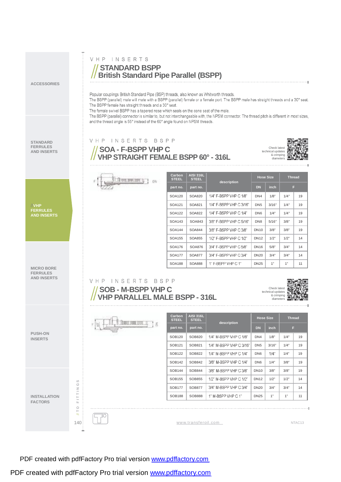VHP INSERTS **STANDARD BSPP British Standard Pipe Parallel (BSPP) ACCESSORIES** Popular couplings British Standard Pipe (BSP) threads, also known as Whitworth threads. The BSPP (parallel) male will mate with a BSPP (parallel) female or a female port. The BSPP male has straight threads and a 30° seat. The BSPP female has straight threads and a 30° seat. The female swivel BSPP has a tapered nose which seals on the cone seat of the male. The BSPP (parallel) connector is similar to, but not interchangeable with, the NPSM connector. The thread pitch is different in most sizes, and the thread angle is 55° instead of the 60° angle found on NPSM threads. VHP INSERTS BSPP **STANDARD FERRULES**  $Check$ **SOA - F-BSPP VHP C AND INSERTS** technical updates **VHPSTRAIGHT FEMALE BSPP 60° - 316L** & crimping diameters **Carbon STEEL AISI 316L Hose Size Thread** flux maint q 1 ov **STEEL description part no.** *part* **<b>no. DN inch**  $SOA120$  SOA820  $1/4$ " F-BSPP VHP C 1/8" DN4  $1/8$ "  $1/4$ " 19  $SOA121$  SOA821 1/4" F-BSPP VHP C 3/16" DN5 3/16" 1/4" 19 **FERRULES** //**VHP VHP**  $FERRULES$ <br>AND **INSERTS**  $SOA122$  SOA822 1/4" F-BSPP VHP C 1/4"  $\Box$  DN6  $\Box$  1/4"  $\Box$  1/4"  $\Box$  19  $SOA143$  SOA843 3/8" F-BSPP VHP C 5/16" DN8 5/16" 3/8" 19  $SOA144$  SOA844 3/8" F-BSPP VHP C 3/8" DN10 3/8" 3/8" 19 SOA155 SOA855 1/2" F-BSPP VHP C 1/2" DN12 1/2" 1/2" 14 SOA176 | SOA876 | 3/4" F-BSPP VHP C 5/8" | DN16 | 5/8" | 3/4" | 14 SOA177 | SOA877 |  $3/4$ " F-BSPP VHP C  $3/4$ " | DN20 |  $3/4$ " |  $3/4$ " | 14  $SOA188$  SOA888 1" F-BSPP VHP C 1" DN25 1" 1" 11 **MICRO BORE FERRULES AND INSERTS** VHP INSERTS BSPP **SOB - M-BSPP VHP C** Check latest technical updates & crimping diameters **VHP PARALLEL MALE BSPP - 316L Carbon AISI 316L Hose Size Thread**

|                                  |              | <b><i><u>Albertando II</u></i></b><br>İδ<br><b>CARD AREA CONTROL</b> | <b>Gal DOTT</b><br><b>STEEL</b> | AISI STOL<br><b>STEEL</b> | description             | <b>Hose Size</b> |             | <b>Thread</b> |                    |
|----------------------------------|--------------|----------------------------------------------------------------------|---------------------------------|---------------------------|-------------------------|------------------|-------------|---------------|--------------------|
|                                  |              |                                                                      | part no.                        | part no.                  |                         |                  | <b>inch</b> | F             |                    |
| <b>PUSH-ON</b><br><b>INSERTS</b> |              |                                                                      | <b>SOB120</b>                   | SOB820                    | 1/4" M-BSPP VHP C 1/8"  | DN <sub>4</sub>  | 1/8"        | 1/4"          | 19                 |
|                                  |              |                                                                      | SOB121                          | SOB821                    | 1/4" M-BSPP VHP C 3/16" | DN <sub>5</sub>  | 3/16"       | 1/4"          | 19                 |
|                                  |              |                                                                      | <b>SOB122</b>                   | SOB822                    | 1/4" M-BSPP VHP C 1/4"  | DN <sub>6</sub>  | $1/4$ "     | 1/4"          | 19                 |
|                                  |              |                                                                      | <b>SOB142</b>                   | SOB842                    | 3/8" M-BSPP VHP C 1/4"  | DN <sub>6</sub>  | 1/4"        | 3/8"          | 19                 |
|                                  |              |                                                                      | <b>SOB144</b>                   | SOB844                    | 3/8" M-BSPP VHP C 3/8"  | <b>DN10</b>      | 3/8"        | 3/8"          | 19                 |
|                                  | $\omega$     |                                                                      | <b>SOB155</b>                   | <b>SOB855</b>             | 1/2" M-BSPP VHP C 1/2"  | <b>DN12</b>      | 1/2"        | 1/2"          | 14                 |
|                                  | $\circ$<br>z |                                                                      | <b>SOB177</b>                   | <b>SOB877</b>             | 3/4" M-BSPP VHP C 3/4"  | <b>DN20</b>      | 3/4"        | 3/4"          | 14                 |
| <b>INSTALLATION</b>              |              |                                                                      | <b>SOB188</b>                   | <b>SOB888</b>             | 1" M-BSPP VHP C 1"      | <b>DN25</b>      | 1"          | 1"            | 11                 |
| <b>FACTORS</b>                   | Щ<br>$\circ$ |                                                                      |                                 |                           |                         |                  |             |               |                    |
|                                  | $\leq$       | U.                                                                   |                                 |                           |                         |                  |             |               |                    |
|                                  | 140:         |                                                                      |                                 | www.transferoil.com       |                         |                  |             |               | NTAC <sub>13</sub> |

٠

PDF created with pdfFactory Pro trial version [www.pdffactory.com](http://www.pdffactory.com)

PDF created with pdfFactory Pro trial version [www.pdffactory.com](http://www.pdffactory.com)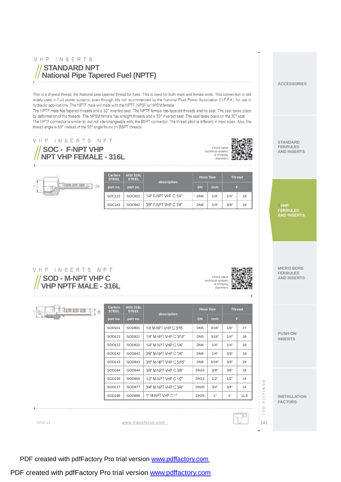## VHP INSERTS **STANDARD NPT National Pipe Tapered Fuel (NPTF)**

This is a dryseal thread, the National pipe tapered thread for fuels. This is used for both male and female ends. This connection is still widely used in fluid power systems, even through itils not recommended by the National Fluid Power Association (N.F.P.A.) for use in hydraulic applications. The NPTF male will mate with the NPTF, NPSF or NPSM female.

The NPTF male has tapered threads and a 30° inverted seat. The NPTF female has tapered threads and no seat. The seal takes piace by deformation of the threads. The NPSM female has straight threads and a 30° inverted seat. The seal takes piace on the 30° seat. The NPTF connector is similar to, but not interchangeable with, the BSPT connector. The thread pitch is different in most sizes. Also, the thread angle is 60° instead of the 55° angle found on BSPT threads.

> **AISI 316L STEEL**

## VHP INSERTS NPT

**SOC - F-NPT VHP NPT VHP FEMALE - 316L**

The content of the

**SOD - M-NPT VHP C VHP NPTF MALE - 316L**

**TITLES BOX 800** B

VHP INSERTS NPT



**Hose Size Thread**

**STANDARD FERRULES AND INSERTS**

**ACCESSORIES**

**VHP FERRULES** //**VHP AND INSERTS FERRULESAND INSERTS**

**MICRO BORE FERRULES AND INSERTS**

**PUSH-ON INSERTS**

**INSTALLATION FACTORS**

141// **T O F I T T I N G S**

 $011$ 

 $:141$ 

FITTINGS

| NTAC <sub>13</sub> | www.transferoil.com |
|--------------------|---------------------|

SOD155 SOD855 1/2" M-NPT VHP C 1/2" DN12 1/2" 1/2" 14 SOD177 SOD877 3/4" M-NPT VHP C 3/4" DN20 3/4" 3/4" 14 SOD188 | SOD888 | 1" M-NPT VHP C 1" | DN25 | 1" | 1" | 11,5

**Carbon STEEL**

**Carbon STEEL**

**AISI 316L STEEL**

**description**

**description**

**part no. part no. DN inch F**  $SOC122$  SOC822 1/4" F-NPT VHP C 1/4" DN6 1/4" 1/4" 18  $SOC142$  SOC842 3/8" F-NPT VHP C 1/4" DN6  $1/4$ " 3/8" 18

**part no. part no. DN inch F** SOD101 | SOD801 | 1/8 M-NPT VHP C 3/16 | DN5 | 3/16" | 1/8" | 27  $SOD121$  SOD821  $1/4$ " M-NPT VHP C 3/16" DN5 3/16"  $1/4$ " 18

PDF created with pdfFactory Pro trial version [www.pdffactory.com](http://www.pdffactory.com)

PDF created with pdfFactory Pro trial version [www.pdffactory.com](http://www.pdffactory.com)





**Hose Size Thread**

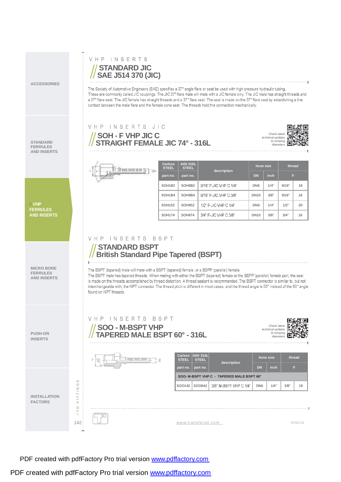**ACCESSORIES**

**STANDARD FERRULES AND INSERTS** The Society of Automotive Engineers (SAE) specifies a 37° angle flare or seat be used with high pressure hydraulic tubing. These are commonly called JIC couplings. The JIC 37° flare male will mate with a JIC female only. The JIC male has straight threads and a 37° flare seat. The JIC female has straight threads and a 37° flare seat. The seal is made on the 37° flare seat by establishing a line contact between the male flare and the female cone seat. The threads hold the connection mechanically

> Check lates technical updates & crimping diameters

**STANDARD JIC SAE J514 370 (JIC)**

VHP INSERTS

**SOH - F VHP JIC C**

VHP INSERTS JIC

**STRAIGHT FEMALE JIC 74° - 316L**

**AND INSERTS**<br> **AND INSERTS**<br> **AND INSERTS**<br> **AND INSERTS AISI 316L hose size thread STEEL STEEL description part no. part no. DN inch F**  $SOH1B2$  SOH8B2 9/16" F-JIC VHP C 1/4" DN6 1/4" 9/16" 18 SOH1B4 SOH8B4 9/16" F-JIC VHP C 3/8"  $\Box$  DN10  $\Box$  3/8"  $\Box$  9/16"  $\Box$  18 **VHP** //**VHP** //**VHP** SOH152 SOH852 1/2" F.IIC VHP C 1/4" DN6 1/4" 1/2" 20 **AND INSERTS FERRULESAND INSERTS FERRULES FERRULES** SOH174 SOH874 3/4" F-JIC VHP C 3/8" | DN10 3/8" | 3/4" | 16 VHP INSERTS BSPT **STANDARD BSPT British Standard Pipe Tapered (BSPT)**  $\mathbb{R}$  . **MICRO BORE** The BSPT (tapered) male will mate with a BSPT (tapered) female, or a BSPP (parallel) female. **FERRULES** The BSPT male has tapered threads. When mating with either the BSPT (tapered) female or the BSPP (parallel) female port, the seal **AND INSERTS** is made on the threads accomplished by thread distortion. A thread sealant is recommended. The BSPT connector is similar to, but not interchangeable with, the NPT connector. The thread pitch is different in most cases, and the thread angle is 55° instead of the 60° angle found on NPT threads. VHP INSERTS BSPT 回復 п **SOO - M-BSPT VHP** Check latest chnical updates **PUSH-ON TAPERED MALE BSPT 60° - 316L** & crimping diameters **INSERTS Carbon STEEL AISI 316L STEEL hose size thread** hearearman **description part no. part no. DN inch F SOO- M-BSPT VHP C - TAPERED MALE BSPT 60°** 800142 SOO842 3/8" M-BSPT VHP C 1/4" DN6 1/4" 3/8" 19<br>  $\frac{1}{2}$  **F E F F E F E F E F E F E F E F E F E F E E F E F E F E F E F E F E E F E E E** SOO142 SOO842 3/8" M-BSPT VHP C 1/4" DN6  $\parallel$  1/4"  $\parallel$  3/8"  $\parallel$  19 **INSTALLATION FACTORS**

PDF created with pdfFactory Pro trial version [www.pdffactory.com](http://www.pdffactory.com)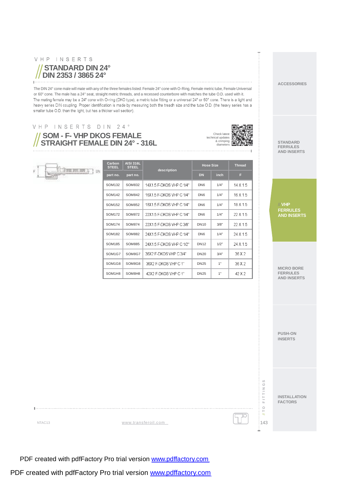#### VHP INSERTS

 $\|\cdot\|$ 

#### **STANDARD DIN 24° DIN 2353 / 3865 24°**

The DIN 24° cone male will mate with any of the three females listed: Female 24° cone with O-Ring, Female metric tube, Female Universal or 60° cone. The male has a 24° seat, straight metric threads, and a recessed counterbore with matches the tube O.D. used with it. The mating female may be a 24° cone with O-ring (DKO type), a metric tube fitting or a universal 24° or 60° cone. There is a light and heavy series DIN coupling. Proper identification is made by measuring both the treadh size and the tube O.D. (the heavy series has a smaller tube O.D. than the light, but has a thicker wall section).

# VHP INSERTS DIN 24°

Them well have to

**SOM - F- VHP DKOS FEMALE STRAIGHT FEMALE DIN 24° - 316L**

**You** 

**Carbon STEEL**

**AISI 316L STEEL**

**description**

 $SOM132$  SOM832 14X1.5 F-DKOS VHP C 1/4" DN6 1/4" SOM142 | SOM842 | 16X1.5 F-DKOS VHP C 1/4" | DN6 | 1/4"  $SOM152$  SOM852 18X1.5 F-DKOS VHP C 1/4" DN6 1/4" SOM172 SOM872  $22x15$  F-DKOS VHP C 1/4" DN6  $\parallel$  1/4" SOM174 SOM874  $22x15$  F-DKOS VHP C.3/8" DN10  $\overline{3}$  3/8"  $SOM182$  SOM882 24X1.5 F-DKOS VHP C 1/4" DN6 1/4" SOM185 | SOM885 | 24X1.5 F-DKOS VHP C 1/2" | DN12 | 1/2"  $SOM1G7$  SOM8G7 36X2 F-DKOS VHP C3/4" DN20 3/4" SOM1G8 SOM8G8 36X2 F-DKOS VHP C 1" DN25  $\parallel$  1" SOM1H8 SOM8H8  $\parallel$  42X2 F-DKOS VHP C 1"  $\parallel$  DN25  $\parallel$  1"

**part no. part no. DN inch F**



 $14 X 1.5$ 16 X 1.5 18 X 1.5 22 X 1.5  $22X15$ 24 X 1.5 24 X 1.5 36 X 2 36 X 2  $42 \times 2$ 

**Hose Size Thread**

**STANDARD FERRULES AND INSERTS**

**ACCESSORIES**

**VHP** // **VHP FERRULES FERRULES AND INSERTS AND INSERTS**

**MICRO BORE FERRULES AND INSERTS**

**PUSH-ON INSERTS**

**INSTALLATION FACTORS**

143// **T O F I T T I N G S**

 $01/$ 

 $:143$ 

**FITTINGS** 

NTAC13 [www.transferoil.com](http://www.transferoil.com)

PDF created with pdfFactory Pro trial version [www.pdffactory.com](http://www.pdffactory.com)

PDF created with pdfFactory Pro trial version [www.pdffactory.com](http://www.pdffactory.com)